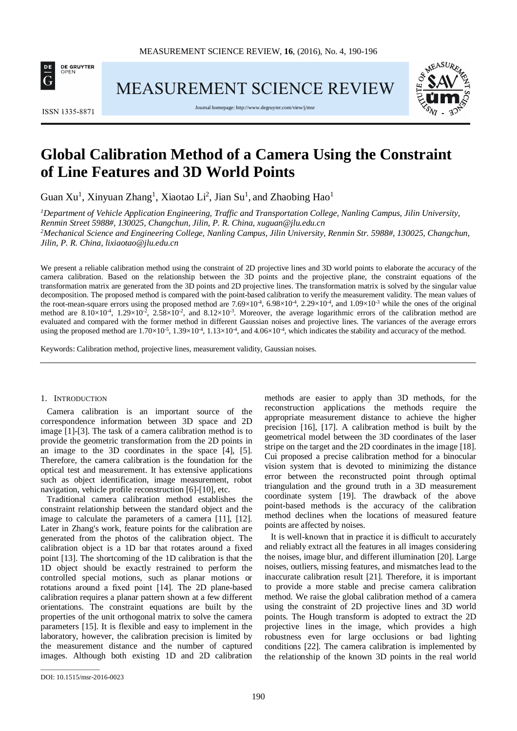

**MEASUREMENT SCIENCE REVIEW** 

**ISSN 1335-8871** 

Journal homepage[: http://www.degruyter.com/view/j/msr](http://www.degruyter.com/view/j/msr)



# **Global Calibration Method of a Camera Using the Constraint of Line Features and 3D World Points**

Guan Xu<sup>1</sup>, Xinyuan Zhang<sup>1</sup>, Xiaotao Li<sup>2</sup>, Jian Su<sup>1</sup>, and Zhaobing Hao<sup>1</sup>

*1 Department of Vehicle Application Engineering, Traffic and Transportation College, Nanling Campus, Jilin University, Renmin Street 5988#, 130025, Changchun, Jilin, P. R. China, xuguan@jlu.edu.cn 2 Mechanical Science and Engineering College, Nanling Campus, Jilin University, Renmin Str. 5988#, 130025, Changchun,* 

*Jilin, P. R. China, lixiaotao@jlu.edu.cn*

We present a reliable calibration method using the constraint of 2D projective lines and 3D world points to elaborate the accuracy of the camera calibration. Based on the relationship between the 3D points and the projective plane, the constraint equations of the transformation matrix are generated from the 3D points and 2D projective lines. The transformation matrix is solved by the singular value decomposition. The proposed method is compared with the point-based calibration to verify the measurement validity. The mean values of the root-mean-square errors using the proposed method are  $7.69 \times 10^{4}$ ,  $6.98 \times 10^{4}$ ,  $2.29 \times 10^{4}$ , and  $1.09 \times 10^{3}$  while the ones of the original method are  $8.10\times10^{-4}$ ,  $1.29\times10^{-2}$ ,  $2.58\times10^{-2}$ , and  $8.12\times10^{-3}$ . Moreover, the average logarithmic errors of the calibration method are evaluated and compared with the former method in different Gaussian noises and projective lines. The variances of the average errors using the proposed method are  $1.70 \times 10^{-5}$ ,  $1.39 \times 10^{-4}$ ,  $1.13 \times 10^{-4}$ , and  $4.06 \times 10^{-4}$ , which indicates the stability and accuracy of the method.

Keywords: Calibration method, projective lines, measurement validity, Gaussian noises.

#### 1. INTRODUCTION

Camera calibration is an important source of the correspondence information between 3D space and 2D image [1]-[3]. The task of a camera calibration method is to provide the geometric transformation from the 2D points in an image to the 3D coordinates in the space [4], [5]. Therefore, the camera calibration is the foundation for the optical test and measurement. It has extensive applications such as object identification, image measurement, robot navigation, vehicle profile reconstruction [6]-[10], etc.

Traditional camera calibration method establishes the constraint relationship between the standard object and the image to calculate the parameters of a camera [11], [12]. Later in Zhang's work, feature points for the calibration are generated from the photos of the calibration object. The calibration object is a 1D bar that rotates around a fixed point [13]. The shortcoming of the 1D calibration is that the 1D object should be exactly restrained to perform the controlled special motions, such as planar motions or rotations around a fixed point [14]. The 2D plane-based calibration requires a planar pattern shown at a few different orientations. The constraint equations are built by the properties of the unit orthogonal matrix to solve the camera parameters [15]. It is flexible and easy to implement in the laboratory, however, the calibration precision is limited by the measurement distance and the number of captured images. Although both existing 1D and 2D calibration

methods are easier to apply than 3D methods, for the reconstruction applications the methods require the appropriate measurement distance to achieve the higher precision [16], [17]. A calibration method is built by the geometrical model between the 3D coordinates of the laser stripe on the target and the 2D coordinates in the image [18]. Cui proposed a precise calibration method for a binocular vision system that is devoted to minimizing the distance error between the reconstructed point through optimal triangulation and the ground truth in a 3D measurement coordinate system [19]. The drawback of the above point-based methods is the accuracy of the calibration method declines when the locations of measured feature points are affected by noises.

It is well-known that in practice it is difficult to accurately and reliably extract all the features in all images considering the noises, image blur, and different illumination [20]. Large noises, outliers, missing features, and mismatches lead to the inaccurate calibration result [21]. Therefore, it is important to provide a more stable and precise camera calibration method. We raise the global calibration method of a camera using the constraint of 2D projective lines and 3D world points. The Hough transform is adopted to extract the 2D projective lines in the image, which provides a high robustness even for large occlusions or bad lighting conditions [22]. The camera calibration is implemented by the relationship of the known 3D points in the real world

\_\_\_\_\_\_\_\_\_\_\_\_\_\_\_\_\_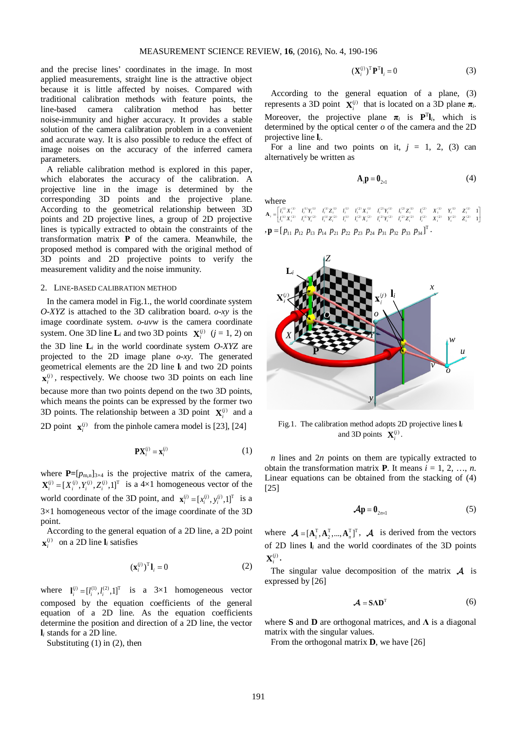and the precise lines' coordinates in the image. In most applied measurements, straight line is the attractive object because it is little affected by noises. Compared with traditional calibration methods with feature points, the line-based camera calibration method has better [noise](http://dict.youdao.com/w/noise/)[-immunity](http://dict.youdao.com/w/immunity/) and higher accuracy. It provides a stable solution of the camera calibration problem in a convenient and accurate way. It is also possible to reduce the effect of image noises on the accuracy of the inferred camera parameters.

A reliable calibration method is explored in this paper, which elaborates the accuracy of the calibration. A projective line in the image is determined by the corresponding 3D points and the projective plane. According to the [geometrical](http://dict.youdao.com/w/geometrical/) [relationship](http://dict.youdao.com/w/relationship/) between 3D points and 2D projective lines, [a group](http://dict.youdao.com/w/multigroup/) of 2D projective lines is typically extracted to obtain the constraints of the transformation matrix **P** of the camera. Meanwhile, the proposed method is compared with the original method of 3D points and 2D projective points to verify the measurement validity and the noise immunity.

### 2. LINE-BASED CALIBRATION METHOD

In the camera model in Fig.1., the world coordinate system *O-XYZ* is attached to the 3D calibration board. *o-xy* is the image coordinate system. *o*-*uvw* is the camera coordinate system. One 3D line  $\mathbf{L}_i$  and two 3D points  $\mathbf{X}_i^{(j)}$  ( $j = 1, 2$ ) on the 3D line  $\mathbf{L}_i$  in the world coordinate system  $O-XYZ$  are projected to the 2D image plane *o-xy*. The generated geometrical elements are the 2D line **l***<sup>i</sup>* and two 2D points  $\mathbf{x}_i^{(j)}$ , respectively. We choose two 3D points on each line because more than two points depend on the two 3D points, which means the points can be expressed by the former two 3D points. The relationship between a 3D point  $\mathbf{X}^{(i)}$  and a 2D point  $\mathbf{x}_i^{(j)}$  from the pinhole camera model is [23], [24]

$$
\mathbf{P} \mathbf{X}_i^{(j)} = \mathbf{x}_i^{(j)} \tag{1}
$$

where  $\mathbf{P}=[p_{m,n}]_{3\times4}$  is the projective matrix of the camera,  $\mathbf{X}_i^{(j)} = [X_i^{(j)}, Y_i^{(j)}, Z_i^{(j)}, 1]^T$  is a  $4\times1$  homogeneous vector of the world coordinate of the 3D point, and  $\mathbf{x}_i^{(j)} = [x_i^{(j)}, y_i^{(j)}, 1]^T$  is a 3×1 homogeneous vector of the image coordinate of the 3D point.

According to the general equation of a 2D line, a 2D point  $\mathbf{x}_i^{(j)}$  on a 2D line  $\mathbf{l}_i$  satisfies

$$
\left(\mathbf{x}_{i}^{(j)}\right)^{\mathrm{T}} \mathbf{l}_{i} = 0 \tag{2}
$$

where  $\mathbf{l}_i^{(j)} = [l_i^{(1)}, l_i^{(2)}, 1]^T$  is a 3×1 homogeneous vector composed by the equation coefficients of the general equation of a 2D line. As the equation coefficients determine the position and direction of a 2D line, the vector **l***<sup>i</sup>* stands for a 2D line.

Substituting  $(1)$  in  $(2)$ , then

$$
\left(\mathbf{X}_{i}^{(j)}\right)^{\mathrm{T}}\mathbf{P}^{\mathrm{T}}\mathbf{l}_{i}=0
$$
 (3)

According to the general equation of a plane, (3) represents a 3D point  $\mathbf{X}^{(i)}$  that is located on a 3D plane  $\pi_i$ . Moreover, the projective plane  $\pi_i$  is  $\mathbf{P}^T\mathbf{l}_i$ , which is determined by the optical center *o* of the camera and the 2D projective line **l***i*.

For a line and two points on it,  $j = 1, 2, (3)$  can alternatively be written as

$$
\mathbf{A}_i \mathbf{p} = \mathbf{0}_{2 \times 1} \tag{4}
$$

where

 $\begin{aligned} = & \begin{bmatrix} l_i^{(0)}X_i^{(0)} & l_i^{(0)}Y_i^{(1)} & l_i^{(0)}Z_i^{(1)} & l_i^{(2)}X_i^{(1)} & l_i^{(2)}Y_i^{(1)} & l_i^{(2)}Z_i^{(1)} & l_i^{(2)}Z_i^{(1)} & l_i^{(2)} & Z_i^{(1)} & Z_i^{(1)} & Z_i^{(1)} & Z_i^{(1)} & Z_i^{(1)} & Z_i^{(1)} & Z_i^{(1)} & Z_i^{(1)} & Z_i^{(1)} & Z_i^{(1)} & Z_i^{(1)} & Z_i^{(1)} & Z_i^{(1)} & Z_i^{(1)} & Z_i^{(1)} & Z_i^{($  $11 \mathbf{v}^{(1)} - 11 \mathbf{v}^{(1)} - 11 \mathbf{v}^{(1)} - 11 \mathbf{v}^{(1)} - 11 \mathbf{v}^{(2)} - 11 \mathbf{v}^{(1)} - 11 \mathbf{v}^{(2)} - 11 \mathbf{v}^{(1)} - 11 \mathbf{v}^{(1)} - 11 \mathbf{v}^{(1)} - 11 \mathbf{v}^{(1)} - 11 \mathbf{v}^{(1)} - 11 \mathbf{v}^{(1)} - 11 \mathbf{v}^{(1)} - 11 \mathbf{v}^{(1)} - 11 \mathbf{v}^{($  $f(1) \mathbf{v}(2) = f(1) \mathbf{v}(2) = f(1) \mathbf{v}(2) = f(1) - f(2) \mathbf{v}(2) = f(2) \mathbf{v}(2) = f(2) \mathbf{v}(2) = f(2) - f(2) = \mathbf{v}(2) = \mathbf{v}(2) = \mathbf{v}(2) = \mathbf{v}(2) = \mathbf{v}(2) = \mathbf{v}(2) = \mathbf{v}(2) = \mathbf{v}(2) = \mathbf{v}(2) = \mathbf{v}(2) = \mathbf{v}(2) = \mathbf{v}(2) = \mathbf{v}(2) = \mathbf{v}(2) = \$  $\mathbf{I}(\mathbf{1}) \cdot \mathbf{I}(\mathbf{1}) = \mathbf{I}(\mathbf{1}) \cdot \mathbf{I}(\mathbf{1}) = \mathbf{I}(\mathbf{1}) \cdot \mathbf{I}(\mathbf{1}) = \mathbf{I}(\mathbf{1}) \cdot \mathbf{I}(\mathbf{1}) = \mathbf{I}(\mathbf{1}) \cdot \mathbf{I}(\mathbf{1}) = \mathbf{I}(\mathbf{1}) \cdot \mathbf{I}(\mathbf{1}) = \mathbf{I}(\mathbf{1}) \cdot \mathbf{I}(\mathbf{1}) = \mathbf{I}(\mathbf{1}) \cdot \mathbf{I}(\mathbf{1}) = \mathbf{$  $i_i$  *i i*<sub>*i*</sub> *i***<sub>***i***</sub>** *i***<sub>***i***</sub> <b>***i***<sub>***i***</sub>** *i***<sub>***i***</sub> <b>***i i*<sub>*i*</sub> *<i>i***<sub>***i***</sub> <b>***z*<sub>*i*</sub> *z*<sub>*i*</sub> *z*<sub>*i*</sub> *z*<sub>*i*</sub> *z*</del> *z*  $\mathbf{A}_i = \begin{bmatrix} l_i^{(1)}X_i^{(1)} & l_i^{(1)}Y_i^{(1)} & l_i^{(1)}Z_i^{(1)} & l_i^{(1)} & l_i^{(2)}X_i^{(1)} & l_i^{(2)}Y_i^{(1)} & l_i^{(2)}Z_i^{(1)} & l_i^{(2)} & I_i^{(2)} & I_i^{(2)} & I_i^{(2)} & I_i^{(2)} & I_i^{(2)} & I_i^{(2)} & I_i^{(2)} & I_i^{(2)} & I_i^{(2)} & I_i^{(2)} & I_i^{(2)} & I_i^{(2)} & I_i^{(2)} & I_i^{(2)} & I_i^{(2)} & I_i^{(2)} & I_i$  $\mathbf{p} = [p_{11} \ p_{12} \ p_{13} \ p_{14} \ p_{21} \ p_{22} \ p_{23} \ p_{24} \ p_{31} \ p_{32} \ p_{33} \ p_{34}]^{\mathrm{T}}$ .



Fig.1. The calibration method adopts 2D projective lines **l***<sup>i</sup>* and 3D points  $\mathbf{X}^{(j)}_i$ .

*n* lines and 2*n* points on them are typically extracted to obtain the transformation matrix **P**. It means  $i = 1, 2, ..., n$ . Linear equations can be obtained from the stacking of (4) [25]

$$
\mathcal{A}\mathbf{p} = \mathbf{0}_{2n \times 1} \tag{5}
$$

where  $\mathcal{A} = [\mathbf{A}_1^T, \mathbf{A}_2^T, ..., \mathbf{A}_n^T]^T$ ,  $\mathcal{A}$  is derived from the vectors of 2D lines **l***<sup>i</sup>* and the world coordinates of the 3D points  $\mathbf{X}^{(j)}$ .

The singular value decomposition of the matrix  $\mathcal A$  is expressed by [26]

$$
\mathcal{A} = S \Lambda D^{T} \tag{6}
$$

where **S** and **D** are orthogonal matrices, and **Λ** is a diagonal matrix with the singular values.

From the orthogonal matrix **D**, we have [26]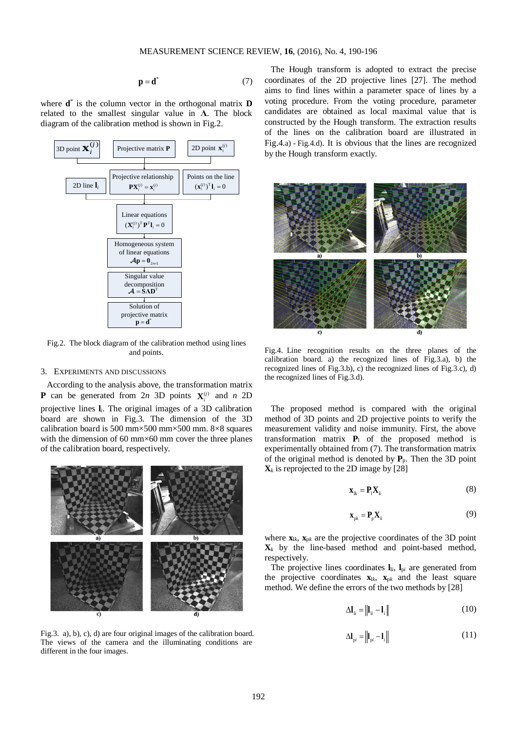$$
\mathbf{p} = \mathbf{d}^* \tag{7}
$$

where **d**\* is the column vector in the orthogonal matrix **D** related to the smallest singular value in **Λ**. The block diagram of the calibration method is shown in Fig.2.



Fig.2. The block diagram of the calibration method using lines and points.

#### 3. EXPERIMENTS AND DISCUSSIONS

According to the analysis above, the transformation matrix **P** can be generated from 2*n* 3D points  $X_i^{(j)}$  and *n* 2D projective lines **l***i*. The original images of a 3D calibration board are shown in Fig.3. The dimension of the 3D calibration board is 500 mm×500 mm×500 mm. 8×8 squares with the dimension of 60 mm $\times$ 60 mm cover the three planes of the calibration board, respectively.



Fig.3. a), b), c), d) are four original images of the calibration board. The views of the camera and the illuminating conditions are different in the four images.

The Hough transform is adopted to extract the precise coordinates of the 2D projective lines [27]. The method aims to find lines within a parameter space of lines by a voting procedure. From the voting procedure, parameter candidates are obtained as local maximal value that is constructed by the Hough transform. The extraction results of the lines on the calibration board are illustrated in Fig.4.a) - Fig.4.d). It is obvious that the lines are recognized by the Hough transform exactly.



Fig.4. Line recognition results on the three planes of the calibration board. a) the recognized lines of Fig.3.a), b) the recognized lines of Fig.3.b), c) the recognized lines of Fig.3.c), d) the recognized lines of Fig.3.d).

The proposed method is compared with the original method of 3D points and 2D projective points to verify the measurement validity and noise immunity. First, the above transformation matrix **P**<sup>l</sup> of the proposed method is experimentally obtained from (7). The transformation matrix of the original method is denoted by  $P_p$ . Then the 3D point  $\mathbf{X}_k$  is reprojected to the 2D image by [28]

$$
\mathbf{x}_{ik} = \mathbf{P}_l \mathbf{X}_k \tag{8}
$$

$$
\mathbf{x}_{pk} = \mathbf{P}_p \mathbf{X}_k \tag{9}
$$

where  $\mathbf{x}_{lk}$ ,  $\mathbf{x}_{pk}$  are the projective coordinates of the 3D point  $X_k$  by the line-based method and point-based method, respectively.

The projective lines coordinates  $I_{li}$ ,  $I_{pi}$  are generated from the projective coordinates  $\mathbf{x}_{lk}$ ,  $\mathbf{x}_{pk}$  and the least square method. We define the errors of the two methods by [28]

$$
\Delta \mathbf{l}_{li} = \left\| \mathbf{l}_{li} - \mathbf{l}_{i} \right\| \tag{10}
$$

$$
\Delta \mathbf{l}_{\mathrm{p}i} = \left\| \mathbf{l}_{\mathrm{p}i} - \mathbf{l}_i \right\| \tag{11}
$$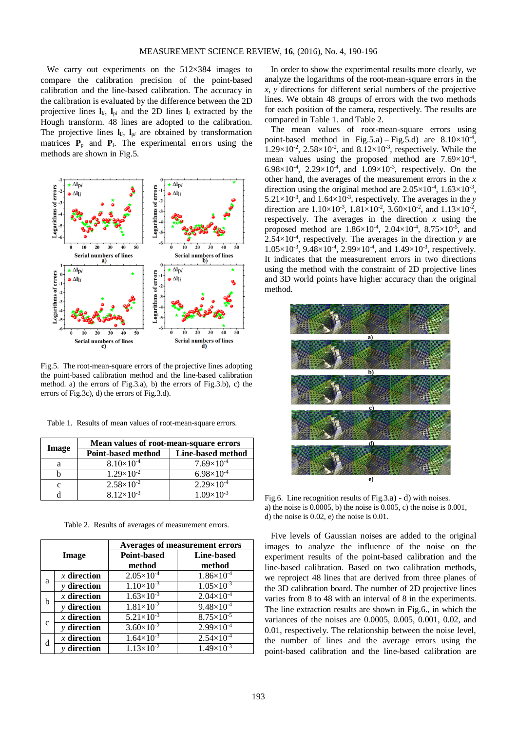We carry out experiments on the 512×384 images to compare the calibration precision of the point-based calibration and the line-based calibration. The accuracy in the calibration is evaluated by the difference between the 2D projective lines  $I_{li}$ ,  $I_{pi}$  and the 2D lines  $I_i$  extracted by the Hough transform. 48 lines are adopted to the calibration. The projective lines  $\mathbf{l}_{li}$ ,  $\mathbf{l}_{pi}$  are obtained by transformation matrices  $P_p$  and  $P_l$ . The experimental errors using the methods are shown in Fig.5.



Fig.5. The root-mean-square errors of the projective lines adopting the point-based calibration method and the line-based calibration method. a) the errors of Fig.3.a), b) the errors of Fig.3.b), c) the errors of Fig.3c), d) the errors of Fig.3.d).

Table 1. Results of mean values of root-mean-square errors.

|       | Mean values of root-mean-square errors |                     |  |
|-------|----------------------------------------|---------------------|--|
| Image | <b>Point-based method</b>              | Line-based method   |  |
| a     | $8.10\times10^{-4}$                    | $7.69\times10^{-4}$ |  |
|       | $1.29\times10^{-2}$                    | $6.98\times10^{-4}$ |  |
| c     | $2.58 \times 10^{-2}$                  | $2.29\times10^{-4}$ |  |
|       | $8.12\times10^{-3}$                    | $1.09\times10^{-3}$ |  |

Table 2. Results of averages of measurement errors.

| Image         |               | <b>Averages of measurement errors</b> |                       |  |
|---------------|---------------|---------------------------------------|-----------------------|--|
|               |               | <b>Point-based</b>                    | <b>Line-based</b>     |  |
|               |               | method                                | method                |  |
| a             | $x$ direction | $2.05 \times 10^{-4}$                 | $1.86 \times 10^{-4}$ |  |
|               | $y$ direction | $1.10\times10^{-3}$                   | $1.05 \times 10^{-3}$ |  |
| h             | $x$ direction | $1.63 \times 10^{-3}$                 | $2.04 \times 10^{-4}$ |  |
|               | $y$ direction | $1.81\times10^{-2}$                   | $9.48 \times 10^{-4}$ |  |
| $\mathcal{C}$ | $x$ direction | $5.21 \times 10^{-3}$                 | $8.75 \times 10^{-5}$ |  |
|               | y direction   | $3.60 \times 10^{-2}$                 | $2.99 \times 10^{-4}$ |  |
| d             | $x$ direction | $1.64 \times 10^{-3}$                 | $2.54 \times 10^{-4}$ |  |
|               | $y$ direction | $1.13\times10^{-2}$                   | $1.49\times10^{-3}$   |  |

In order to show the experimental results more clearly, we analyze the logarithms of the root-mean-square errors in the *x*, *y* directions for different serial numbers of the projective lines. We obtain 48 groups of errors with the two methods for each position of the camera, respectively. The results are compared in Table 1. and Table 2.

The mean values of root-mean-square errors using point-based method in Fig.5.a) – Fig.5.d) are  $8.10 \times 10^{-4}$ ,  $1.29 \times 10^{-2}$ ,  $2.58 \times 10^{-2}$ , and  $8.12 \times 10^{-3}$ , respectively. While the mean values using the proposed method are  $7.69 \times 10^{-4}$ , 6.98 $\times$ 10<sup>-4</sup>, 2.29 $\times$ 10<sup>-4</sup>, and 1.09 $\times$ 10<sup>-3</sup>, respectively. On the other hand, the averages of the measurement errors in the *x* direction using the original method are  $2.05 \times 10^{-4}$ ,  $1.63 \times 10^{-3}$ ,  $5.21 \times 10^{-3}$ , and  $1.64 \times 10^{-3}$ , respectively. The averages in the *y* direction are  $1.10\times10^{-3}$ ,  $1.81\times10^{-2}$ ,  $3.60\times10^{-2}$ , and  $1.13\times10^{-2}$ , respectively. The averages in the direction *x* using the proposed method are  $1.86 \times 10^{-4}$ ,  $2.04 \times 10^{-4}$ ,  $8.75 \times 10^{-5}$ , and  $2.54 \times 10^{-4}$ , respectively. The averages in the direction *y* are  $1.05 \times 10^{-3}$ ,  $9.48 \times 10^{-4}$ ,  $2.99 \times 10^{-4}$ , and  $1.49 \times 10^{-3}$ , respectively. It indicates that the measurement errors in two directions using the method with the constraint of 2D projective lines and 3D world points have higher accuracy than the original method.



Fig.6. Line recognition results of Fig.3.a) - d) with noises. a) the noise is 0.0005, b) the noise is 0.005, c) the noise is 0.001, d) the noise is 0.02, e) the noise is 0.01.

Five levels of Gaussian noises are added to the original images to analyze the influence of the noise on the experiment results of the point-based calibration and the line-based calibration. Based on two calibration methods, we reproject 48 lines that are derived from three planes of the 3D calibration board. The number of 2D projective lines varies from 8 to 48 with an interval of 8 in the experiments. The line extraction results are shown in Fig.6., in which the variances of the noises are 0.0005, 0.005, 0.001, 0.02, and 0.01, respectively. The relationship between the noise level, the number of lines and the average errors using the point-based calibration and the line-based calibration are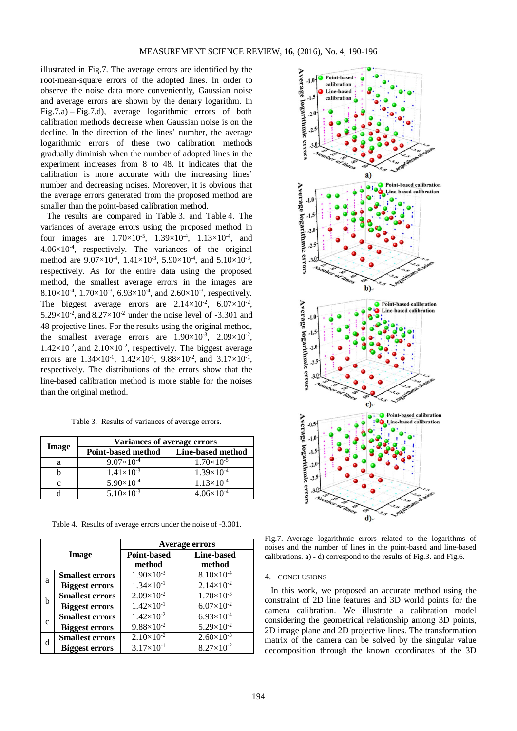illustrated in Fig.7. The average errors are identified by the [root-mean-square](http://dict.youdao.com/w/root-mean-square/) errors of the adopted lines. In order to observe the noise data more conveniently, Gaussian noise and average errors are shown by the denary logarithm. In Fig.7.a) – Fig.7.d), average logarithmic errors of both calibration methods decrease when Gaussian noise is on the decline. In the direction of the lines' number, the average logarithmic errors of these two calibration methods gradually diminish when the number of adopted lines in the experiment increases from 8 to 48. It indicates that the calibration is more accurate with the increasing lines' number and decreasing noises. Moreover, it is obvious that the average errors generated from the proposed method are smaller than the point-based calibration method.

The results are compared in Table 3. and Table 4. The [variances](http://dict.youdao.com/w/variance/) of average errors using the proposed method in four images are  $1.70 \times 10^{-5}$ ,  $1.39 \times 10^{-4}$ ,  $1.13 \times 10^{-4}$ , and  $4.06 \times 10^{-4}$ , respectively. The [variances](http://dict.youdao.com/w/variance/) of the original method are  $9.07 \times 10^4$ ,  $1.41 \times 10^{-3}$ ,  $5.90 \times 10^4$ , and  $5.10 \times 10^{-3}$ , respectively. As for the entire data using the proposed method, the smallest average errors in the images are 8.10×10<sup>-4</sup>, 1.70×10<sup>-3</sup>, 6.93×10<sup>-4</sup>, and 2.60×10<sup>-3</sup>, respectively. The biggest average errors are  $2.14 \times 10^{-2}$ ,  $6.07 \times 10^{-2}$ ,  $5.29 \times 10^{-2}$ , and  $8.27 \times 10^{-2}$  under the noise level of -3.301 and 48 projective lines. For the results using the original method, the smallest average errors are  $1.90 \times 10^{-3}$ ,  $2.09 \times 10^{-2}$ ,  $1.42 \times 10^{-2}$ , and  $2.10 \times 10^{-2}$ , respectively. The biggest average errors are  $1.34 \times 10^{-1}$ ,  $1.42 \times 10^{-1}$ ,  $9.88 \times 10^{-2}$ , and  $3.17 \times 10^{-1}$ , respectively. The distributions of the errors show that the line-based calibration method is more stable for the noises than the original method.

Table 3. Results of variances of average errors.

| Image | Variances of average errors |                     |
|-------|-----------------------------|---------------------|
|       | <b>Point-based method</b>   | Line-based method   |
| a     | $9.07\times10^{-4}$         | $1.70\times10^{-5}$ |
|       | $1.41\times10^{-3}$         | $1.39\times10^{-4}$ |
| с     | $5.90\times10^{-4}$         | $1.13\times10^{-4}$ |
|       | $5.10\times10^{-3}$         | $4.06\times10^{-4}$ |

Table 4. Results of average errors under the noise of -3.301.

| Image        |                        | <b>Average errors</b> |                                  |
|--------------|------------------------|-----------------------|----------------------------------|
|              |                        | <b>Point-based</b>    | Line-based                       |
|              |                        | method                | method                           |
| a            | <b>Smallest errors</b> | $1.90 \times 10^{-3}$ | $8.10\times10^{-4}$              |
|              | <b>Biggest errors</b>  | $1.34\times10^{-1}$   | $2.14 \times 10^{-2}$            |
| b            | <b>Smallest errors</b> | $2.09\times10^{-2}$   | $1.70 \times 10^{-3}$            |
|              | <b>Biggest errors</b>  | $1.42 \times 10^{-1}$ | $6.07 \times 10^{-2}$            |
| $\mathbf{C}$ | <b>Smallest errors</b> | $1.42\times10^{-2}$   | $6.93\times10^{-4}$              |
|              | <b>Biggest errors</b>  | $9.88 \times 10^{-2}$ | $5.29 \times 10^{-2}$            |
| d            | <b>Smallest errors</b> | $2.10\times10^{-2}$   | $2.60 \times \overline{10^{-3}}$ |
|              | <b>Biggest errors</b>  | $3.17 \times 10^{-1}$ | $8.27 \times 10^{-2}$            |



Fig.7. Average logarithmic errors related to the logarithms of noises and the number of lines in the point-based and line-based calibrations. a) - d) correspond to the results of Fig.3. and Fig.6.

#### 4. CONCLUSIONS

In this work, we proposed an accurate method using the constraint of 2D line features and 3D world points for the camera calibration. We illustrate a calibration model considering the [geometrical](http://dict.youdao.com/w/geometrical/) [relationship](http://dict.youdao.com/w/relationship/) among 3D points, 2D image plane and 2D projective lines. The transformation matrix of the camera can be solved by the singular value decomposition through the known coordinates of the 3D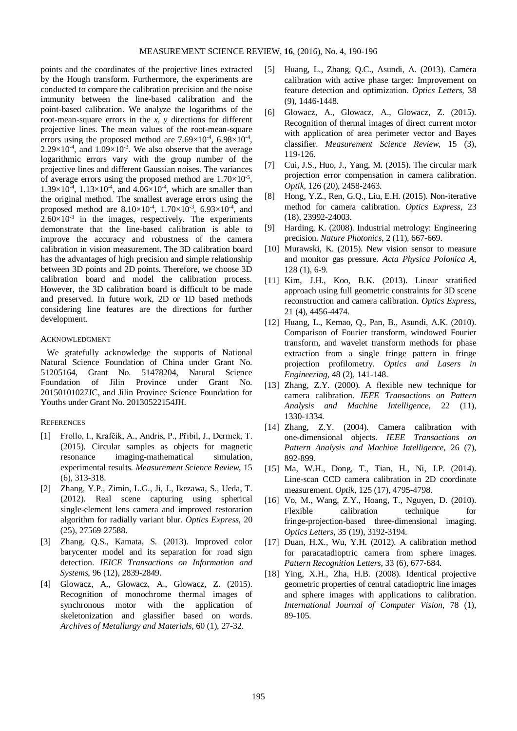points and the coordinates of the projective lines extracted by the Hough transform. Furthermore, the experiments are conducted to compare the calibration precision and the noise immunity between the line-based calibration and the point-based calibration. We analyze the logarithms of the root-mean-square errors in the *x*, *y* directions for different projective lines. The mean values of the root-mean-square errors using the proposed method are  $7.69\times10^{-4}$ ,  $6.98\times10^{-4}$ ,  $2.29 \times 10^{-4}$ , and  $1.09 \times 10^{-3}$ . We also observe that the average logarithmic errors vary with the group number of the projective lines and different Gaussian noises. The [variances](http://dict.youdao.com/w/variance/) of average errors using the proposed method are  $1.70\times10^{-5}$ ,  $1.39\times10^{-4}$ ,  $1.13\times10^{-4}$ , and  $4.06\times10^{-4}$ , which are smaller than the original method. The smallest average errors using the proposed method are  $8.10\times10^{-4}$ ,  $1.70\times10^{-3}$ ,  $6.93\times10^{-4}$ , and  $2.60\times10^{-3}$  in the images, respectively. The experiments demonstrate that the line-based calibration is able to improve the accuracy and robustness of the camera calibration in vision measurement. The 3D calibration board has the advantages of high precision and simple relationship between 3D points and 2D points. Therefore, we choose 3D calibration board and model the calibration process. However, the 3D calibration board is difficult to be made and preserved. In future work, 2D or 1D based methods considering line features are the directions for further development.

### ACKNOWLEDGMENT

We gratefully acknowledge the supports of National Natural Science Foundation of China under Grant No. 51205164, Grant No. 51478204, Natural Science Foundation of Jilin Province under Grant No. 20150101027JC, and Jilin Province Science Foundation for Youths under Grant No. 20130522154JH.

## **REFERENCES**

- [1] Frollo, I., Krafčík, A., Andris, P., Přibil, J., Dermek, T. (2015). Circular samples as objects for magnetic resonance imaging-mathematical simulation, experimental results. *Measurement Science Review*, 15 (6), 313-318.
- [2] Zhang, Y.P., Zimin, L.G., Ji, J., Ikezawa, S., Ueda, T. (2012). Real scene capturing using spherical single-element lens camera and improved restoration algorithm for radially variant blur. *Optics Express*, 20 (25), 27569-27588.
- [3] Zhang, Q.S., Kamata, S. (2013). Improved color barycenter model and its separation for road sign detection. *IEICE Transactions on Information and Systems*, 96 (12), 2839-2849.
- [4] Glowacz, A., Glowacz, A., Glowacz, Z. (2015). Recognition of monochrome thermal images of synchronous motor with the application of skeletonization and glassifier based on words. *Archives of Metallurgy and Materials*, 60 (1), 27-32.
- [5] Huang, L., Zhang, Q.C., Asundi, A. (2013). Camera calibration with active phase target: Improvement on feature detection and optimization. *Optics Letters*, 38 (9), 1446-1448.
- [6] Glowacz, A., Glowacz, A., Glowacz, Z. (2015). Recognition of thermal images of direct current motor with application of area perimeter vector and Bayes classifier. *Measurement Science Review*, 15 (3), 119-126.
- [7] Cui, J.S., Huo, J., Yang, M. (2015). The circular mark projection error compensation in camera calibration. *Optik*, 126 (20), 2458-2463.
- [8] Hong, Y.Z., Ren, G.Q., Liu, E.H. (2015). Non-iterative method for camera calibration. *Optics Express*, 23 (18), 23992-24003.
- [9] Harding, K. (2008). Industrial metrology: Engineering precision. *Nature Photonics*, 2 (11), 667-669.
- [10] Murawski, K. (2015). New vision sensor to measure and monitor gas pressure. *Acta Physica Polonica A*, 128 (1), 6-9.
- [11] Kim, J.H., Koo, B.K. (2013). Linear stratified approach using full geometric constraints for 3D scene reconstruction and camera calibration. *Optics Express*, 21 (4), 4456-4474.
- [12] Huang, L., Kemao, Q., Pan, B., Asundi, A.K. (2010). Comparison of Fourier transform, windowed Fourier transform, and wavelet transform methods for phase extraction from a single fringe pattern in fringe projection profilometry. *Optics and Lasers in Engineering*, 48 (2), 141-148.
- [13] Zhang, Z.Y. (2000). A flexible new technique for camera calibration. *IEEE Transactions on Pattern Analysis and Machine Intelligence*, 22 (11), 1330-1334.
- [14] Zhang, Z.Y. (2004). Camera calibration with one-dimensional objects. *IEEE Transactions on Pattern Analysis and Machine Intelligence,* 26 (7), 892-899.
- [15] Ma, W.H., Dong, T., Tian, H., Ni, J.P. (2014). Line-scan CCD camera calibration in 2D coordinate measurement. *Optik*, 125 (17), 4795-4798.
- [16] Vo, M., Wang, Z.Y., Hoang, T., Nguyen, D. (2010). Flexible calibration technique for fringe-projection-based three-dimensional imaging. *Optics Letters*, 35 (19), 3192-3194.
- [17] Duan, H.X., Wu, Y.H. (2012). A calibration method for paracatadioptric camera from sphere images. *Pattern Recognition Letters*, 33 (6), 677-684.
- [18] Ying, X.H., Zha, H.B. (2008). Identical projective geometric properties of central catadioptric line images and sphere images with applications to calibration. *International Journal of Computer Vision*, 78 (1), 89-105.